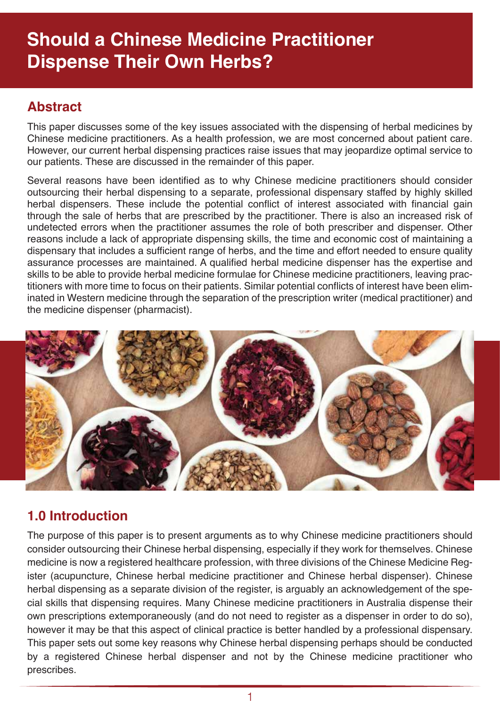## **Should a Chinese Medicine Practitioner Dispense Their Own Herbs?**

#### **Abstract**

This paper discusses some of the key issues associated with the dispensing of herbal medicines by Chinese medicine practitioners. As a health profession, we are most concerned about patient care. However, our current herbal dispensing practices raise issues that may jeopardize optimal service to our patients. These are discussed in the remainder of this paper.

Several reasons have been identified as to why Chinese medicine practitioners should consider outsourcing their herbal dispensing to a separate, professional dispensary staffed by highly skilled herbal dispensers. These include the potential conflict of interest associated with financial gain through the sale of herbs that are prescribed by the practitioner. There is also an increased risk of undetected errors when the practitioner assumes the role of both prescriber and dispenser. Other reasons include a lack of appropriate dispensing skills, the time and economic cost of maintaining a dispensary that includes a sufficient range of herbs, and the time and effort needed to ensure quality assurance processes are maintained. A qualified herbal medicine dispenser has the expertise and skills to be able to provide herbal medicine formulae for Chinese medicine practitioners, leaving practitioners with more time to focus on their patients. Similar potential conflicts of interest have been eliminated in Western medicine through the separation of the prescription writer (medical practitioner) and the medicine dispenser (pharmacist).



## **1.0 Introduction**

The purpose of this paper is to present arguments as to why Chinese medicine practitioners should consider outsourcing their Chinese herbal dispensing, especially if they work for themselves. Chinese medicine is now a registered healthcare profession, with three divisions of the Chinese Medicine Register (acupuncture, Chinese herbal medicine practitioner and Chinese herbal dispenser). Chinese herbal dispensing as a separate division of the register, is arguably an acknowledgement of the special skills that dispensing requires. Many Chinese medicine practitioners in Australia dispense their own prescriptions extemporaneously (and do not need to register as a dispenser in order to do so), however it may be that this aspect of clinical practice is better handled by a professional dispensary. This paper sets out some key reasons why Chinese herbal dispensing perhaps should be conducted by a registered Chinese herbal dispenser and not by the Chinese medicine practitioner who prescribes.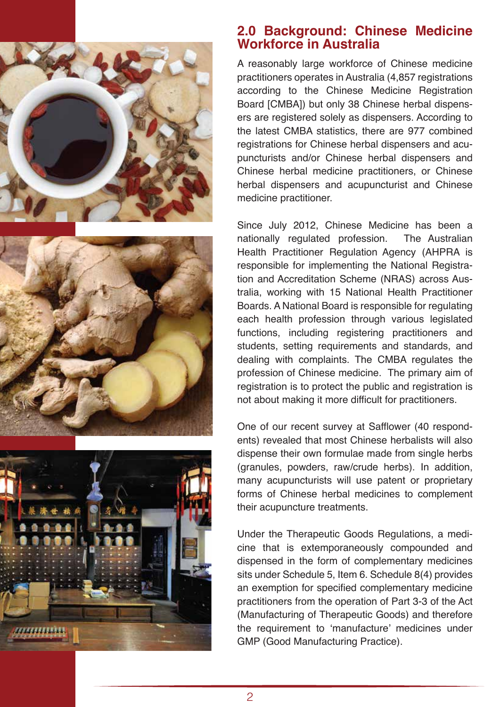





#### **2.0 Background: Chinese Medicine Workforce in Australia**

A reasonably large workforce of Chinese medicine practitioners operates in Australia (4,857 registrations according to the Chinese Medicine Registration Board [CMBA]) but only 38 Chinese herbal dispensers are registered solely as dispensers. According to the latest CMBA statistics, there are 977 combined registrations for Chinese herbal dispensers and acupuncturists and/or Chinese herbal dispensers and Chinese herbal medicine practitioners, or Chinese herbal dispensers and acupuncturist and Chinese medicine practitioner.

Since July 2012, Chinese Medicine has been a nationally regulated profession. The Australian Health Practitioner Regulation Agency (AHPRA is responsible for implementing the National Registration and Accreditation Scheme (NRAS) across Australia, working with 15 National Health Practitioner Boards. A National Board is responsible for regulating each health profession through various legislated functions, including registering practitioners and students, setting requirements and standards, and dealing with complaints. The CMBA regulates the profession of Chinese medicine. The primary aim of registration is to protect the public and registration is not about making it more difficult for practitioners.

One of our recent survey at Safflower (40 respondents) revealed that most Chinese herbalists will also dispense their own formulae made from single herbs (granules, powders, raw/crude herbs). In addition, many acupuncturists will use patent or proprietary forms of Chinese herbal medicines to complement their acupuncture treatments.

Under the Therapeutic Goods Regulations, a medicine that is extemporaneously compounded and dispensed in the form of complementary medicines sits under Schedule 5, Item 6. Schedule 8(4) provides an exemption for specified complementary medicine practitioners from the operation of Part 3-3 of the Act (Manufacturing of Therapeutic Goods) and therefore the requirement to 'manufacture' medicines under GMP (Good Manufacturing Practice).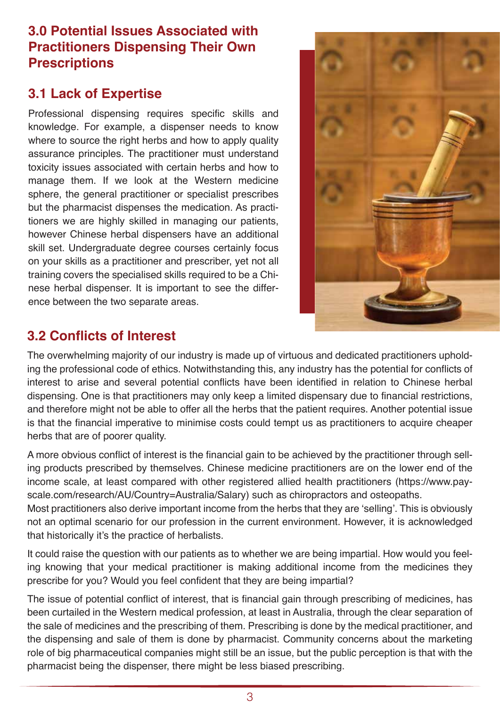## **3.0 Potential Issues Associated with Practitioners Dispensing Their Own Prescriptions**

## **3.1 Lack of Expertise**

Professional dispensing requires specific skills and knowledge. For example, a dispenser needs to know where to source the right herbs and how to apply quality assurance principles. The practitioner must understand toxicity issues associated with certain herbs and how to manage them. If we look at the Western medicine sphere, the general practitioner or specialist prescribes but the pharmacist dispenses the medication. As practitioners we are highly skilled in managing our patients, however Chinese herbal dispensers have an additional skill set. Undergraduate degree courses certainly focus on your skills as a practitioner and prescriber, yet not all training covers the specialised skills required to be a Chinese herbal dispenser. It is important to see the difference between the two separate areas.



## **3.2 Conflicts of Interest**

The overwhelming majority of our industry is made up of virtuous and dedicated practitioners upholding the professional code of ethics. Notwithstanding this, any industry has the potential for conflicts of interest to arise and several potential conflicts have been identified in relation to Chinese herbal dispensing. One is that practitioners may only keep a limited dispensary due to financial restrictions, and therefore might not be able to offer all the herbs that the patient requires. Another potential issue is that the financial imperative to minimise costs could tempt us as practitioners to acquire cheaper herbs that are of poorer quality.

A more obvious conflict of interest is the financial gain to be achieved by the practitioner through selling products prescribed by themselves. Chinese medicine practitioners are on the lower end of the income scale, at least compared with other registered allied health practitioners (https://www.payscale.com/research/AU/Country=Australia/Salary) such as chiropractors and osteopaths.

Most practitioners also derive important income from the herbs that they are 'selling'. This is obviously not an optimal scenario for our profession in the current environment. However, it is acknowledged that historically it's the practice of herbalists.

It could raise the question with our patients as to whether we are being impartial. How would you feeling knowing that your medical practitioner is making additional income from the medicines they prescribe for you? Would you feel confident that they are being impartial?

The issue of potential conflict of interest, that is financial gain through prescribing of medicines, has been curtailed in the Western medical profession, at least in Australia, through the clear separation of the sale of medicines and the prescribing of them. Prescribing is done by the medical practitioner, and the dispensing and sale of them is done by pharmacist. Community concerns about the marketing role of big pharmaceutical companies might still be an issue, but the public perception is that with the pharmacist being the dispenser, there might be less biased prescribing.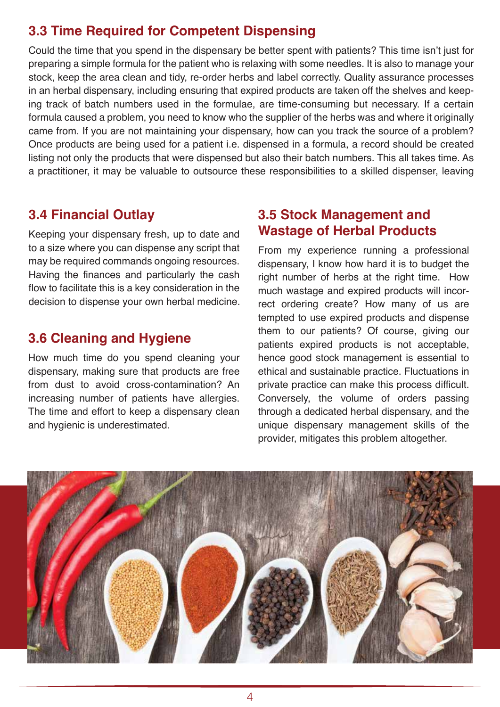## **3.3 Time Required for Competent Dispensing**

Could the time that you spend in the dispensary be better spent with patients? This time isn't just for preparing a simple formula for the patient who is relaxing with some needles. It is also to manage your stock, keep the area clean and tidy, re-order herbs and label correctly. Quality assurance processes in an herbal dispensary, including ensuring that expired products are taken off the shelves and keeping track of batch numbers used in the formulae, are time-consuming but necessary. If a certain formula caused a problem, you need to know who the supplier of the herbs was and where it originally came from. If you are not maintaining your dispensary, how can you track the source of a problem? Once products are being used for a patient i.e. dispensed in a formula, a record should be created listing not only the products that were dispensed but also their batch numbers. This all takes time. As a practitioner, it may be valuable to outsource these responsibilities to a skilled dispenser, leaving

#### **3.4 Financial Outlay**

Keeping your dispensary fresh, up to date and to a size where you can dispense any script that may be required commands ongoing resources. Having the finances and particularly the cash flow to facilitate this is a key consideration in the decision to dispense your own herbal medicine.

#### **3.6 Cleaning and Hygiene**

How much time do you spend cleaning your dispensary, making sure that products are free from dust to avoid cross-contamination? An increasing number of patients have allergies. The time and effort to keep a dispensary clean and hygienic is underestimated.

#### **3.5 Stock Management and Wastage of Herbal Products**

From my experience running a professional dispensary, I know how hard it is to budget the right number of herbs at the right time. How much wastage and expired products will incorrect ordering create? How many of us are tempted to use expired products and dispense them to our patients? Of course, giving our patients expired products is not acceptable, hence good stock management is essential to ethical and sustainable practice. Fluctuations in private practice can make this process difficult. Conversely, the volume of orders passing through a dedicated herbal dispensary, and the unique dispensary management skills of the provider, mitigates this problem altogether.

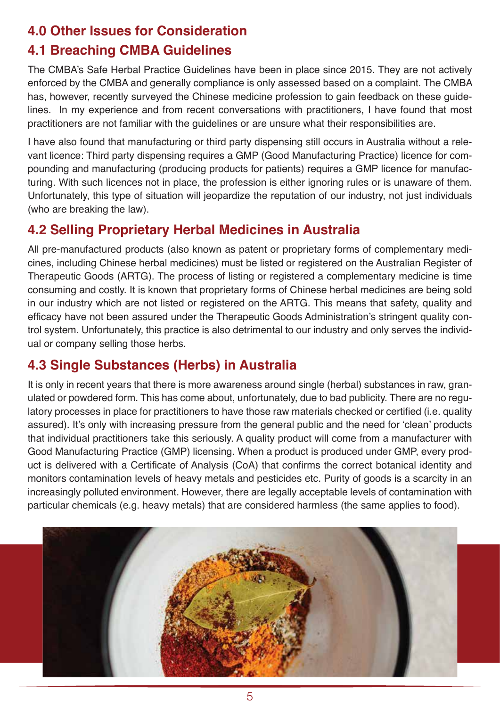## **4.0 Other Issues for Consideration**

## **4.1 Breaching CMBA Guidelines**

The CMBA's Safe Herbal Practice Guidelines have been in place since 2015. They are not actively enforced by the CMBA and generally compliance is only assessed based on a complaint. The CMBA has, however, recently surveyed the Chinese medicine profession to gain feedback on these guidelines. In my experience and from recent conversations with practitioners, I have found that most practitioners are not familiar with the guidelines or are unsure what their responsibilities are.

I have also found that manufacturing or third party dispensing still occurs in Australia without a relevant licence: Third party dispensing requires a GMP (Good Manufacturing Practice) licence for compounding and manufacturing (producing products for patients) requires a GMP licence for manufacturing. With such licences not in place, the profession is either ignoring rules or is unaware of them. Unfortunately, this type of situation will jeopardize the reputation of our industry, not just individuals (who are breaking the law).

## **4.2 Selling Proprietary Herbal Medicines in Australia**

All pre-manufactured products (also known as patent or proprietary forms of complementary medicines, including Chinese herbal medicines) must be listed or registered on the Australian Register of Therapeutic Goods (ARTG). The process of listing or registered a complementary medicine is time consuming and costly. It is known that proprietary forms of Chinese herbal medicines are being sold in our industry which are not listed or registered on the ARTG. This means that safety, quality and efficacy have not been assured under the Therapeutic Goods Administration's stringent quality control system. Unfortunately, this practice is also detrimental to our industry and only serves the individual or company selling those herbs.

## **4.3 Single Substances (Herbs) in Australia**

It is only in recent years that there is more awareness around single (herbal) substances in raw, granulated or powdered form. This has come about, unfortunately, due to bad publicity. There are no regulatory processes in place for practitioners to have those raw materials checked or certified (i.e. quality assured). It's only with increasing pressure from the general public and the need for 'clean' products that individual practitioners take this seriously. A quality product will come from a manufacturer with Good Manufacturing Practice (GMP) licensing. When a product is produced under GMP, every product is delivered with a Certificate of Analysis (CoA) that confirms the correct botanical identity and monitors contamination levels of heavy metals and pesticides etc. Purity of goods is a scarcity in an increasingly polluted environment. However, there are legally acceptable levels of contamination with particular chemicals (e.g. heavy metals) that are considered harmless (the same applies to food).